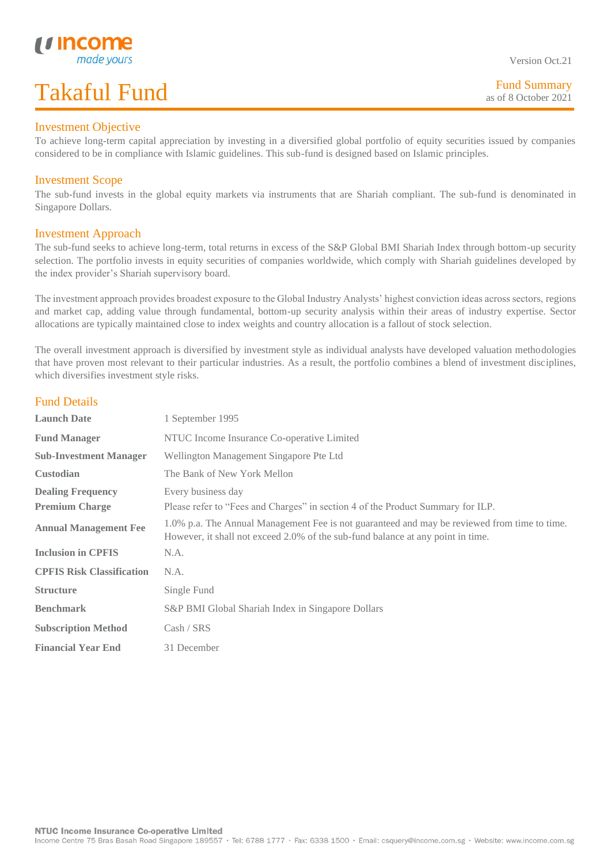### Investment Objective

L

To achieve long-term capital appreciation by investing in a diversified global portfolio of equity securities issued by companies considered to be in compliance with Islamic guidelines. This sub-fund is designed based on Islamic principles.

### Investment Scope

The sub-fund invests in the global equity markets via instruments that are Shariah compliant. The sub-fund is denominated in Singapore Dollars.

#### Investment Approach

The sub-fund seeks to achieve long-term, total returns in excess of the S&P Global BMI Shariah Index through bottom-up security selection. The portfolio invests in equity securities of companies worldwide, which comply with Shariah guidelines developed by the index provider's Shariah supervisory board.

The investment approach provides broadest exposure to the Global Industry Analysts' highest conviction ideas across sectors, regions and market cap, adding value through fundamental, bottom-up security analysis within their areas of industry expertise. Sector allocations are typically maintained close to index weights and country allocation is a fallout of stock selection.

The overall investment approach is diversified by investment style as individual analysts have developed valuation methodologies that have proven most relevant to their particular industries. As a result, the portfolio combines a blend of investment disciplines, which diversifies investment style risks.

# Fund Details

| <b>Launch Date</b>               | 1 September 1995                                                                                                                                                                |  |  |  |
|----------------------------------|---------------------------------------------------------------------------------------------------------------------------------------------------------------------------------|--|--|--|
| <b>Fund Manager</b>              | NTUC Income Insurance Co-operative Limited                                                                                                                                      |  |  |  |
| <b>Sub-Investment Manager</b>    | Wellington Management Singapore Pte Ltd                                                                                                                                         |  |  |  |
| <b>Custodian</b>                 | The Bank of New York Mellon                                                                                                                                                     |  |  |  |
| <b>Dealing Frequency</b>         | Every business day                                                                                                                                                              |  |  |  |
| <b>Premium Charge</b>            | Please refer to "Fees and Charges" in section 4 of the Product Summary for ILP.                                                                                                 |  |  |  |
| <b>Annual Management Fee</b>     | 1.0% p.a. The Annual Management Fee is not guaranteed and may be reviewed from time to time.<br>However, it shall not exceed 2.0% of the sub-fund balance at any point in time. |  |  |  |
| <b>Inclusion in CPFIS</b>        | N.A.                                                                                                                                                                            |  |  |  |
| <b>CPFIS Risk Classification</b> | N.A.                                                                                                                                                                            |  |  |  |
| <b>Structure</b>                 | Single Fund                                                                                                                                                                     |  |  |  |
| <b>Benchmark</b>                 | S&P BMI Global Shariah Index in Singapore Dollars                                                                                                                               |  |  |  |
| <b>Subscription Method</b>       | Cash / SRS                                                                                                                                                                      |  |  |  |
| <b>Financial Year End</b>        | 31 December                                                                                                                                                                     |  |  |  |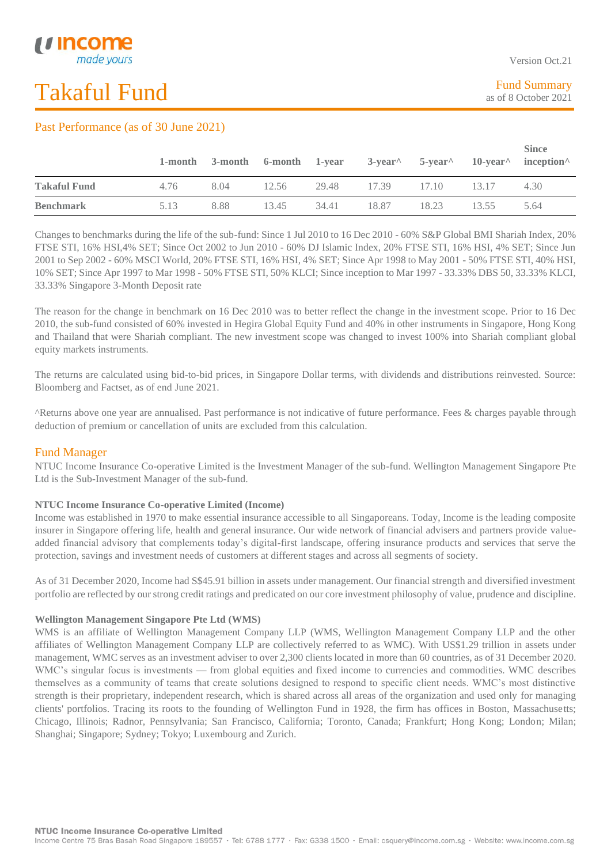L

## Past Performance (as of 30 June 2021)

|                     |      |      |       |       | 1-month 3-month 6-month 1-year 3-year 5-year 10-year inception |       |       | <b>Since</b> |
|---------------------|------|------|-------|-------|----------------------------------------------------------------|-------|-------|--------------|
| <b>Takaful Fund</b> | 4.76 | 8.04 | 12.56 |       | 29.48 17.39 17.10                                              |       | 13.17 | 4.30         |
| <b>Benchmark</b>    | 5.13 | 8.88 | 13.45 | 34.41 | 18.87                                                          | 18.23 | 13.55 | 5.64         |

Changes to benchmarks during the life of the sub-fund: Since 1 Jul 2010 to 16 Dec 2010 - 60% S&P Global BMI Shariah Index, 20% FTSE STI, 16% HSI,4% SET; Since Oct 2002 to Jun 2010 - 60% DJ Islamic Index, 20% FTSE STI, 16% HSI, 4% SET; Since Jun 2001 to Sep 2002 - 60% MSCI World, 20% FTSE STI, 16% HSI, 4% SET; Since Apr 1998 to May 2001 - 50% FTSE STI, 40% HSI, 10% SET; Since Apr 1997 to Mar 1998 - 50% FTSE STI, 50% KLCI; Since inception to Mar 1997 - 33.33% DBS 50, 33.33% KLCI, 33.33% Singapore 3-Month Deposit rate

The reason for the change in benchmark on 16 Dec 2010 was to better reflect the change in the investment scope. Prior to 16 Dec 2010, the sub-fund consisted of 60% invested in Hegira Global Equity Fund and 40% in other instruments in Singapore, Hong Kong and Thailand that were Shariah compliant. The new investment scope was changed to invest 100% into Shariah compliant global equity markets instruments.

The returns are calculated using bid-to-bid prices, in Singapore Dollar terms, with dividends and distributions reinvested. Source: Bloomberg and Factset, as of end June 2021.

^Returns above one year are annualised. Past performance is not indicative of future performance. Fees & charges payable through deduction of premium or cancellation of units are excluded from this calculation.

### Fund Manager

NTUC Income Insurance Co-operative Limited is the Investment Manager of the sub-fund. Wellington Management Singapore Pte Ltd is the Sub-Investment Manager of the sub-fund.

#### **NTUC Income Insurance Co-operative Limited (Income)**

Income was established in 1970 to make essential insurance accessible to all Singaporeans. Today, Income is the leading composite insurer in Singapore offering life, health and general insurance. Our wide network of financial advisers and partners provide valueadded financial advisory that complements today's digital-first landscape, offering insurance products and services that serve the protection, savings and investment needs of customers at different stages and across all segments of society.

As of 31 December 2020, Income had S\$45.91 billion in assets under management. Our financial strength and diversified investment portfolio are reflected by our strong credit ratings and predicated on our core investment philosophy of value, prudence and discipline.

#### **Wellington Management Singapore Pte Ltd (WMS)**

WMS is an affiliate of Wellington Management Company LLP (WMS, Wellington Management Company LLP and the other affiliates of Wellington Management Company LLP are collectively referred to as WMC). With US\$1.29 trillion in assets under management, WMC serves as an investment adviser to over 2,300 clients located in more than 60 countries, as of 31 December 2020. WMC's singular focus is investments — from global equities and fixed income to currencies and commodities. WMC describes themselves as a community of teams that create solutions designed to respond to specific client needs. WMC's most distinctive strength is their proprietary, independent research, which is shared across all areas of the organization and used only for managing clients' portfolios. Tracing its roots to the founding of Wellington Fund in 1928, the firm has offices in Boston, Massachusetts; Chicago, Illinois; Radnor, Pennsylvania; San Francisco, California; Toronto, Canada; Frankfurt; Hong Kong; London; Milan; Shanghai; Singapore; Sydney; Tokyo; Luxembourg and Zurich.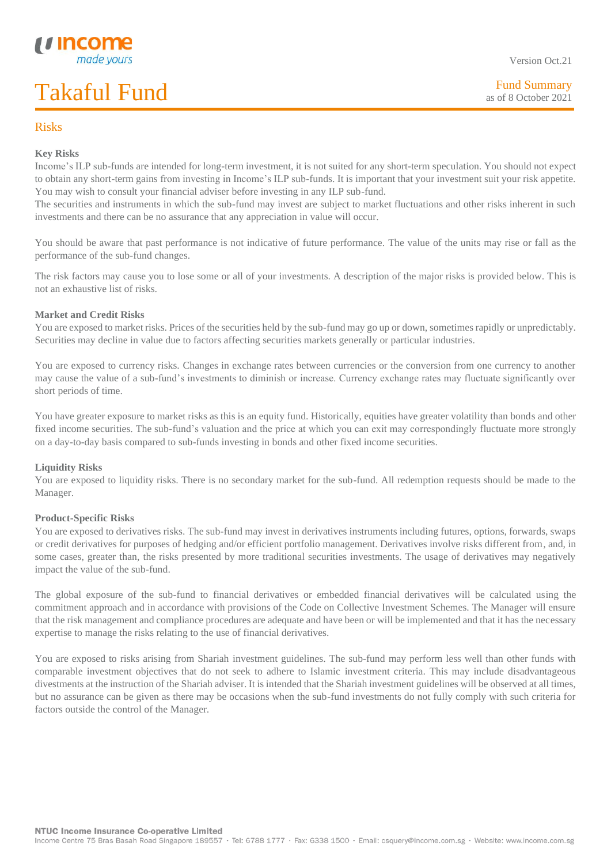# Risks

L

### **Key Risks**

Income's ILP sub-funds are intended for long-term investment, it is not suited for any short-term speculation. You should not expect to obtain any short-term gains from investing in Income's ILP sub-funds. It is important that your investment suit your risk appetite. You may wish to consult your financial adviser before investing in any ILP sub-fund.

The securities and instruments in which the sub-fund may invest are subject to market fluctuations and other risks inherent in such investments and there can be no assurance that any appreciation in value will occur.

You should be aware that past performance is not indicative of future performance. The value of the units may rise or fall as the performance of the sub-fund changes.

The risk factors may cause you to lose some or all of your investments. A description of the major risks is provided below. This is not an exhaustive list of risks.

#### **Market and Credit Risks**

You are exposed to market risks. Prices of the securities held by the sub-fund may go up or down, sometimes rapidly or unpredictably. Securities may decline in value due to factors affecting securities markets generally or particular industries.

You are exposed to currency risks. Changes in exchange rates between currencies or the conversion from one currency to another may cause the value of a sub-fund's investments to diminish or increase. Currency exchange rates may fluctuate significantly over short periods of time.

You have greater exposure to market risks as this is an equity fund. Historically, equities have greater volatility than bonds and other fixed income securities. The sub-fund's valuation and the price at which you can exit may correspondingly fluctuate more strongly on a day-to-day basis compared to sub-funds investing in bonds and other fixed income securities.

#### **Liquidity Risks**

You are exposed to liquidity risks. There is no secondary market for the sub-fund. All redemption requests should be made to the Manager.

#### **Product-Specific Risks**

You are exposed to derivatives risks. The sub-fund may invest in derivatives instruments including futures, options, forwards, swaps or credit derivatives for purposes of hedging and/or efficient portfolio management. Derivatives involve risks different from, and, in some cases, greater than, the risks presented by more traditional securities investments. The usage of derivatives may negatively impact the value of the sub-fund.

The global exposure of the sub-fund to financial derivatives or embedded financial derivatives will be calculated using the commitment approach and in accordance with provisions of the Code on Collective Investment Schemes. The Manager will ensure that the risk management and compliance procedures are adequate and have been or will be implemented and that it has the necessary expertise to manage the risks relating to the use of financial derivatives.

You are exposed to risks arising from Shariah investment guidelines. The sub-fund may perform less well than other funds with comparable investment objectives that do not seek to adhere to Islamic investment criteria. This may include disadvantageous divestments at the instruction of the Shariah adviser. It is intended that the Shariah investment guidelines will be observed at all times, but no assurance can be given as there may be occasions when the sub-fund investments do not fully comply with such criteria for factors outside the control of the Manager.

Version Oct.21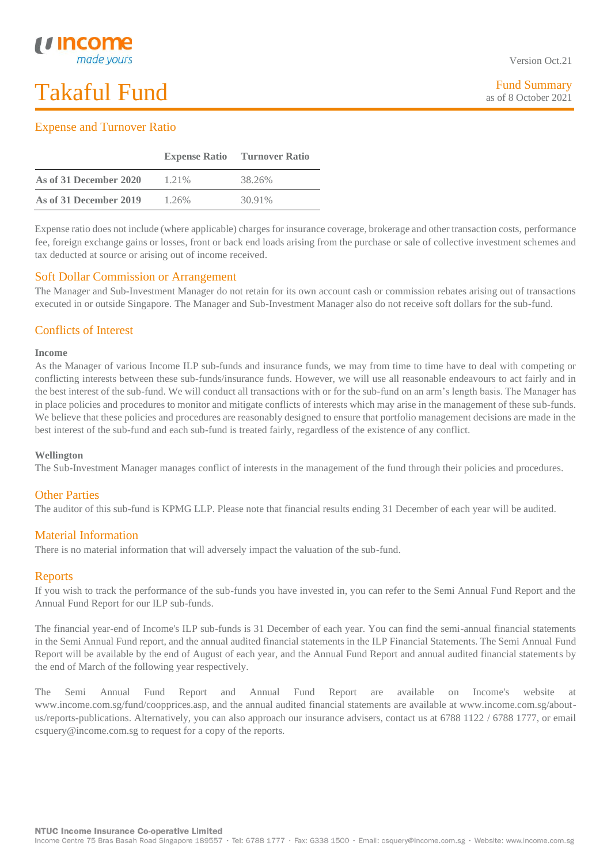### L Expense and Turnover Ratio

|                        | <b>Expense Ratio</b> | <b>Turnover Ratio</b> |
|------------------------|----------------------|-----------------------|
| As of 31 December 2020 | 1.21%                | 38.26%                |
| As of 31 December 2019 | $1.26\%$             | 30.91%                |

Expense ratio does not include (where applicable) charges for insurance coverage, brokerage and other transaction costs, performance fee, foreign exchange gains or losses, front or back end loads arising from the purchase or sale of collective investment schemes and tax deducted at source or arising out of income received.

# Soft Dollar Commission or Arrangement

The Manager and Sub-Investment Manager do not retain for its own account cash or commission rebates arising out of transactions executed in or outside Singapore. The Manager and Sub-Investment Manager also do not receive soft dollars for the sub-fund.

# Conflicts of Interest

#### **Income**

As the Manager of various Income ILP sub-funds and insurance funds, we may from time to time have to deal with competing or conflicting interests between these sub-funds/insurance funds. However, we will use all reasonable endeavours to act fairly and in the best interest of the sub-fund. We will conduct all transactions with or for the sub-fund on an arm's length basis. The Manager has in place policies and procedures to monitor and mitigate conflicts of interests which may arise in the management of these sub-funds. We believe that these policies and procedures are reasonably designed to ensure that portfolio management decisions are made in the best interest of the sub-fund and each sub-fund is treated fairly, regardless of the existence of any conflict.

#### **Wellington**

The Sub-Investment Manager manages conflict of interests in the management of the fund through their policies and procedures.

# Other Parties

The auditor of this sub-fund is KPMG LLP. Please note that financial results ending 31 December of each year will be audited.

# Material Information

There is no material information that will adversely impact the valuation of the sub-fund.

### Reports

If you wish to track the performance of the sub-funds you have invested in, you can refer to the Semi Annual Fund Report and the Annual Fund Report for our ILP sub-funds.

The financial year-end of Income's ILP sub-funds is 31 December of each year. You can find the semi-annual financial statements in the Semi Annual Fund report, and the annual audited financial statements in the ILP Financial Statements. The Semi Annual Fund Report will be available by the end of August of each year, and the Annual Fund Report and annual audited financial statements by the end of March of the following year respectively.

The Semi Annual Fund Report and Annual Fund Report are available on Income's website at www.income.com.sg/fund/coopprices.asp, and the annual audited financial statements are available at www.income.com.sg/aboutus/reports-publications. Alternatively, you can also approach our insurance advisers, contact us at 6788 1122 / 6788 1777, or email csquery@income.com.sg to request for a copy of the reports.